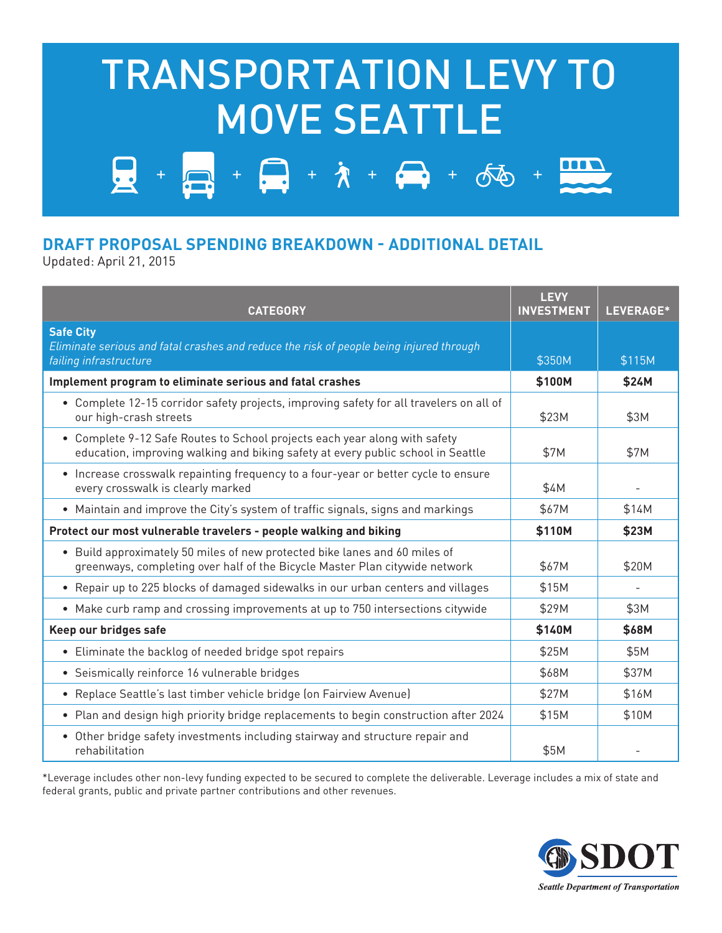## TRANSPORTATION LEVY TO MOVE SEATTLE

 $+ - + \lambda + - + \delta$ 

## **DRAFT PROPOSAL SPENDING BREAKDOWN - ADDITIONAL DETAIL**

Updated: April 21, 2015

| <b>CATEGORY</b>                                                                                                                                                | <b>LEVY</b><br><b>INVESTMENT</b> | LEVERAGE* |
|----------------------------------------------------------------------------------------------------------------------------------------------------------------|----------------------------------|-----------|
| <b>Safe City</b><br>Eliminate serious and fatal crashes and reduce the risk of people being injured through<br>failing infrastructure                          | \$350M                           | \$115M    |
| Implement program to eliminate serious and fatal crashes                                                                                                       | \$100M                           | \$24M     |
| • Complete 12-15 corridor safety projects, improving safety for all travelers on all of<br>our high-crash streets                                              | \$23M                            | \$3M      |
| • Complete 9-12 Safe Routes to School projects each year along with safety<br>education, improving walking and biking safety at every public school in Seattle | \$7M                             | \$7M      |
| • Increase crosswalk repainting frequency to a four-year or better cycle to ensure<br>every crosswalk is clearly marked                                        | \$4M                             |           |
| • Maintain and improve the City's system of traffic signals, signs and markings                                                                                | \$67M                            | \$14M     |
| Protect our most vulnerable travelers - people walking and biking                                                                                              | \$110M                           | \$23M     |
| • Build approximately 50 miles of new protected bike lanes and 60 miles of<br>greenways, completing over half of the Bicycle Master Plan citywide network      | \$67M                            | \$20M     |
| • Repair up to 225 blocks of damaged sidewalks in our urban centers and villages                                                                               | \$15M                            |           |
| • Make curb ramp and crossing improvements at up to 750 intersections citywide                                                                                 | \$29M                            | \$3M      |
| Keep our bridges safe                                                                                                                                          | \$140M                           | \$68M     |
| • Eliminate the backlog of needed bridge spot repairs                                                                                                          | \$25M                            | \$5M      |
| • Seismically reinforce 16 vulnerable bridges                                                                                                                  | \$68M                            | \$37M     |
| • Replace Seattle's last timber vehicle bridge (on Fairview Avenue)                                                                                            | \$27M                            | \$16M     |
| • Plan and design high priority bridge replacements to begin construction after 2024                                                                           | \$15M                            | \$10M     |
| • Other bridge safety investments including stairway and structure repair and<br>rehabilitation                                                                | \$5M                             |           |

\*Leverage includes other non-levy funding expected to be secured to complete the deliverable. Leverage includes a mix of state and federal grants, public and private partner contributions and other revenues.